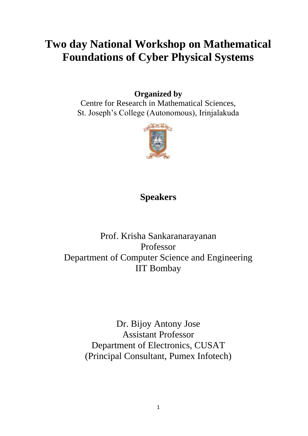# **Two day National Workshop on Mathematical Foundations of Cyber Physical Systems**

## **Organized by**

Centre for Research in Mathematical Sciences, St. Joseph's College (Autonomous), Irinjalakuda



# **Speakers**

## Prof. Krisha Sankaranarayanan Professor Department of Computer Science and Engineering IIT Bombay

Dr. Bijoy Antony Jose Assistant Professor Department of Electronics, CUSAT (Principal Consultant, Pumex Infotech)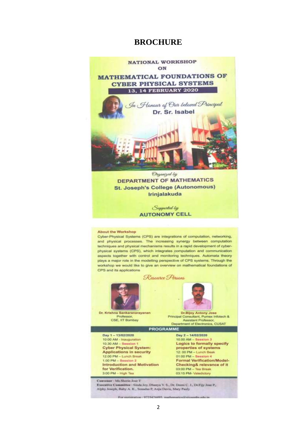## **BROCHURE**



**St. Joseph's College (Autonomous)** Irinjalakuda

> Supported by **AUTONOMY CELL**

#### **About the Workshop**

Cyber-Physical Systems (CPS) are integrations of computation, networking, and physical processes. The increasing synergy between computation techniques and physical mechanisms results in a rapid development of cyberphysical systems (CPS), which integrates computation and communication aspects together with control and monitoring techniques. Automata theory plays a major role in the modelling perspective of CPS systems. Through the workshop we would like to give an overview on mathematical foundations of CPS and its applications

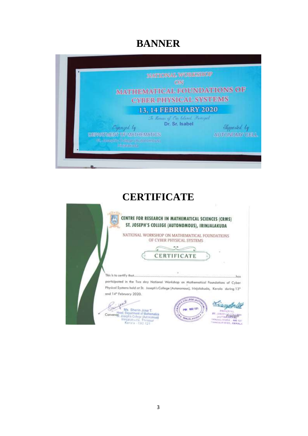# **BANNER**



## **CERTIFICATE**

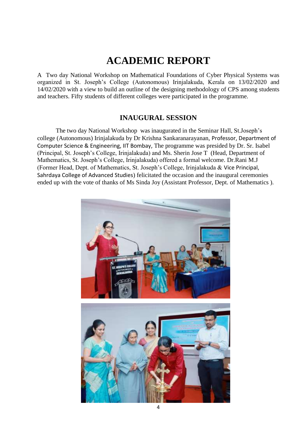# **ACADEMIC REPORT**

A Two day National Workshop on Mathematical Foundations of Cyber Physical Systems was organized in St. Joseph's College (Autonomous) Irinjalakuda, Kerala on 13/02/2020 and 14/02/2020 with a view to build an outline of the designing methodology of CPS among students and teachers. Fifty students of different colleges were participated in the programme.

## **INAUGURAL SESSION**

The two day National Workshop was inaugurated in the Seminar Hall, St.Joseph's college (Autonomous) Irinjalakuda by Dr Krishna Sankaranarayanan, Professor, Department of Computer Science & Engineering, IIT Bombay, The programme was presided by Dr. Sr. Isabel (Principal, St. Joseph's College, Irinjalakuda) and Ms. Sherin Jose T (Head, Department of Mathematics, St. Joseph's College, Irinjalakuda) offered a formal welcome. Dr.Rani M.J (Former Head, Dept. of Mathematics, St. Joseph's College, Irinjalakuda & Vice Principal, Sahrdaya College of Advanced Studies) felicitated the occasion and the inaugural ceremonies ended up with the vote of thanks of Ms Sinda Joy (Assistant Professor, Dept. of Mathematics ).

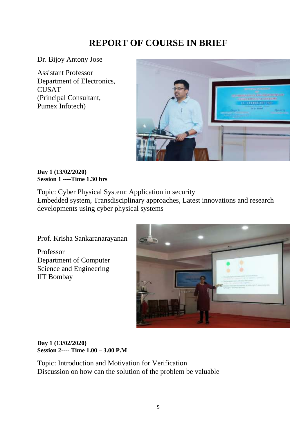## **REPORT OF COURSE IN BRIEF**

Dr. Bijoy Antony Jose

Assistant Professor Department of Electronics, CUSAT (Principal Consultant, Pumex Infotech)



#### **Day 1 (13/02/2020) Session 1 ----Time 1.30 hrs**

Topic: Cyber Physical System: Application in security Embedded system, [Transdisciplinary](https://en.wikipedia.org/wiki/Transdisciplinarity) approaches, Latest innovations and research developments using cyber physical systems

Prof. Krisha Sankaranarayanan

Professor Department of Computer Science and Engineering IIT Bombay



#### **Day 1 (13/02/2020) Session 2---- Time 1.00 – 3.00 P.M**

Topic: Introduction and Motivation for Verification Discussion on how can the solution of the problem be valuable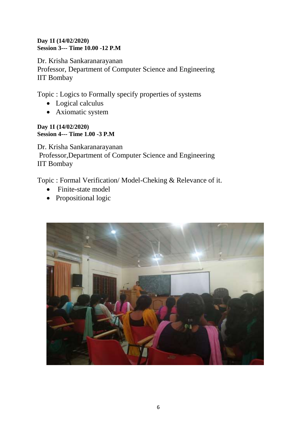### **Day 1I (14/02/2020) Session 3--- Time 10.00 -12 P.M**

Dr. Krisha Sankaranarayanan Professor, Department of Computer Science and Engineering IIT Bombay

Topic : Logics to Formally specify properties of systems

- Logical calculus
- [Axiomatic system](https://en.wikipedia.org/wiki/Axiomatic_system)

**Day 1I (14/02/2020) Session 4--- Time 1.00 -3 P.M**

Dr. Krisha Sankaranarayanan Professor,Department of Computer Science and Engineering IIT Bombay

Topic : Formal Verification/ Model-Cheking & Relevance of it.

- [Finite-state model](https://en.wikipedia.org/wiki/Finite-state_machine)
- [Propositional logic](https://en.wikipedia.org/wiki/Propositional_calculus)

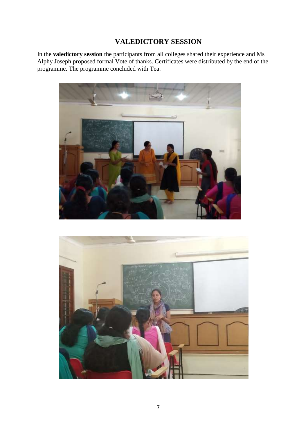## **VALEDICTORY SESSION**

In the **valedictory session** the participants from all colleges shared their experience and Ms Alphy Joseph proposed formal Vote of thanks. Certificates were distributed by the end of the programme. The programme concluded with Tea.